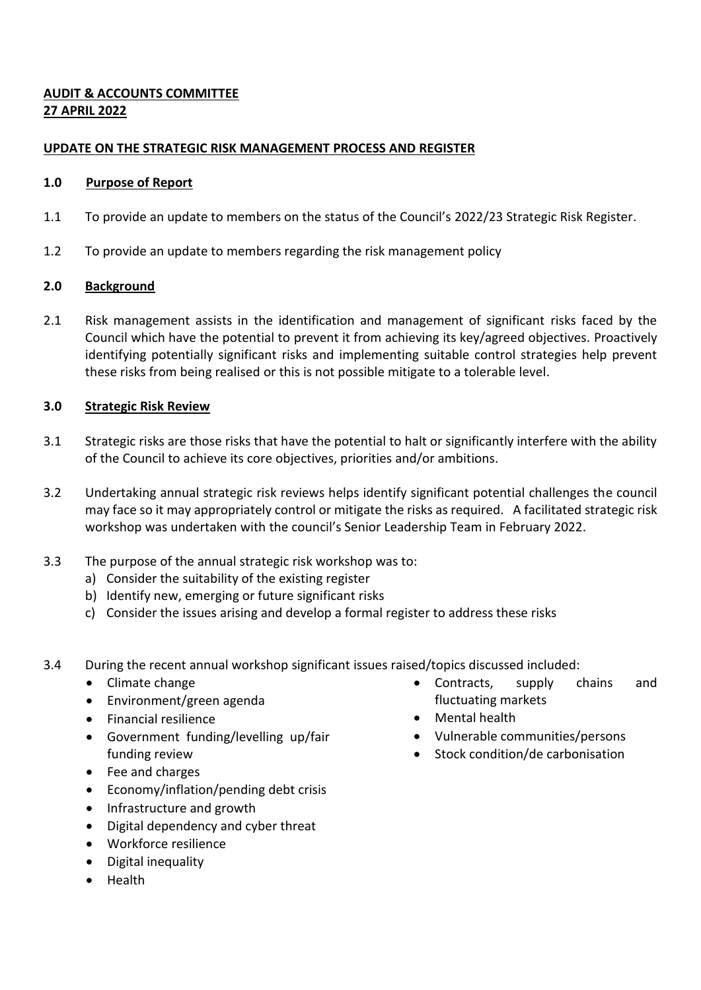# **AUDIT & ACCOUNTS COMMITTEE 27 APRIL 2022**

## **UPDATE ON THE STRATEGIC RISK MANAGEMENT PROCESS AND REGISTER**

### **1.0 Purpose of Report**

- 1.1 To provide an update to members on the status of the Council's 2022/23 Strategic Risk Register.
- 1.2 To provide an update to members regarding the risk management policy

## **2.0 Background**

2.1 Risk management assists in the identification and management of significant risks faced by the Council which have the potential to prevent it from achieving its key/agreed objectives. Proactively identifying potentially significant risks and implementing suitable control strategies help prevent these risks from being realised or this is not possible mitigate to a tolerable level.

## **3.0 Strategic Risk Review**

- 3.1 Strategic risks are those risks that have the potential to halt or significantly interfere with the ability of the Council to achieve its core objectives, priorities and/or ambitions.
- 3.2 Undertaking annual strategic risk reviews helps identify significant potential challenges the council may face so it may appropriately control or mitigate the risks as required. A facilitated strategic risk workshop was undertaken with the council's Senior Leadership Team in February 2022.
- 3.3 The purpose of the annual strategic risk workshop was to:
	- a) Consider the suitability of the existing register
	- b) Identify new, emerging or future significant risks
	- c) Consider the issues arising and develop a formal register to address these risks
- 3.4 During the recent annual workshop significant issues raised/topics discussed included:
	- Climate change
	- Environment/green agenda
	- **•** Financial resilience
	- Government funding/levelling up/fair funding review
	- Fee and charges
	- Economy/inflation/pending debt crisis
	- Infrastructure and growth
	- Digital dependency and cyber threat
	- Workforce resilience
	- Digital inequality
	- Health
- Contracts, supply chains and fluctuating markets
- Mental health
- Vulnerable communities/persons
- Stock condition/de carbonisation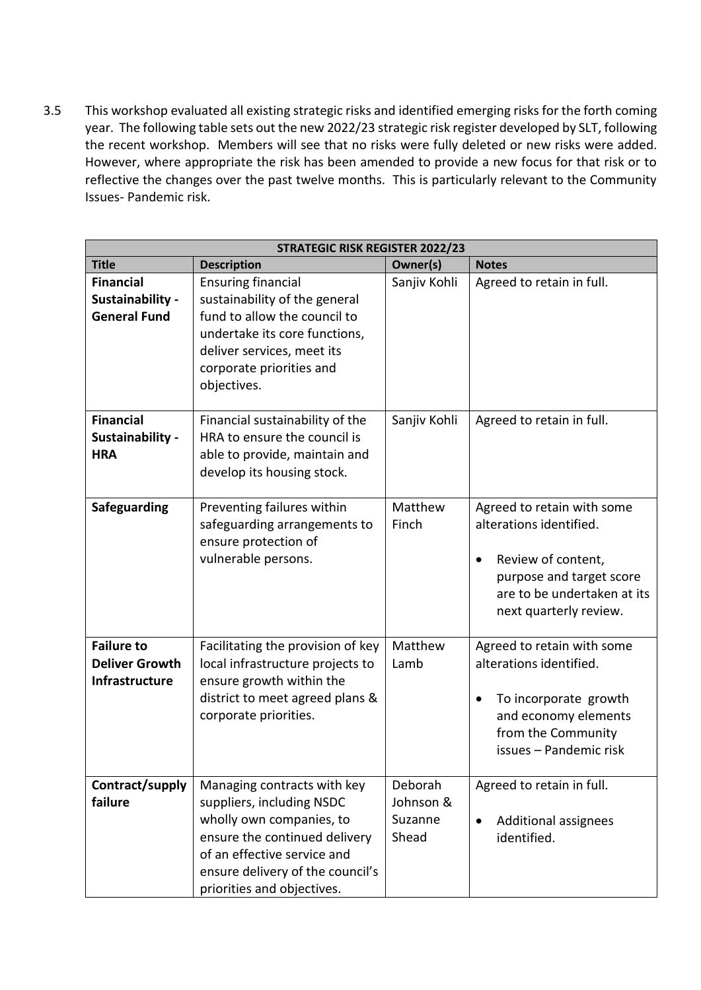3.5 This workshop evaluated all existing strategic risks and identified emerging risks for the forth coming year. The following table sets out the new 2022/23 strategic risk register developed by SLT, following the recent workshop. Members will see that no risks were fully deleted or new risks were added. However, where appropriate the risk has been amended to provide a new focus for that risk or to reflective the changes over the past twelve months. This is particularly relevant to the Community Issues- Pandemic risk.

| <b>STRATEGIC RISK REGISTER 2022/23</b>                              |                                                                                                                                                                                                                        |                                          |                                                                                                                                                                       |  |  |  |
|---------------------------------------------------------------------|------------------------------------------------------------------------------------------------------------------------------------------------------------------------------------------------------------------------|------------------------------------------|-----------------------------------------------------------------------------------------------------------------------------------------------------------------------|--|--|--|
| <b>Title</b>                                                        | <b>Description</b>                                                                                                                                                                                                     | Owner(s)                                 | <b>Notes</b>                                                                                                                                                          |  |  |  |
| <b>Financial</b><br>Sustainability -<br><b>General Fund</b>         | <b>Ensuring financial</b><br>sustainability of the general<br>fund to allow the council to<br>undertake its core functions,<br>deliver services, meet its<br>corporate priorities and<br>objectives.                   | Sanjiv Kohli                             | Agreed to retain in full.                                                                                                                                             |  |  |  |
| <b>Financial</b><br>Sustainability -<br><b>HRA</b>                  | Financial sustainability of the<br>HRA to ensure the council is<br>able to provide, maintain and<br>develop its housing stock.                                                                                         | Sanjiv Kohli                             | Agreed to retain in full.                                                                                                                                             |  |  |  |
| Safeguarding                                                        | Preventing failures within<br>safeguarding arrangements to<br>ensure protection of<br>vulnerable persons.                                                                                                              | Matthew<br>Finch                         | Agreed to retain with some<br>alterations identified.<br>Review of content,<br>٠<br>purpose and target score<br>are to be undertaken at its<br>next quarterly review. |  |  |  |
| <b>Failure to</b><br><b>Deliver Growth</b><br><b>Infrastructure</b> | Facilitating the provision of key<br>local infrastructure projects to<br>ensure growth within the<br>district to meet agreed plans &<br>corporate priorities.                                                          | Matthew<br>Lamb                          | Agreed to retain with some<br>alterations identified.<br>To incorporate growth<br>٠<br>and economy elements<br>from the Community<br>issues - Pandemic risk           |  |  |  |
| Contract/supply<br>failure                                          | Managing contracts with key<br>suppliers, including NSDC<br>wholly own companies, to<br>ensure the continued delivery<br>of an effective service and<br>ensure delivery of the council's<br>priorities and objectives. | Deborah<br>Johnson &<br>Suzanne<br>Shead | Agreed to retain in full.<br>Additional assignees<br>$\bullet$<br>identified.                                                                                         |  |  |  |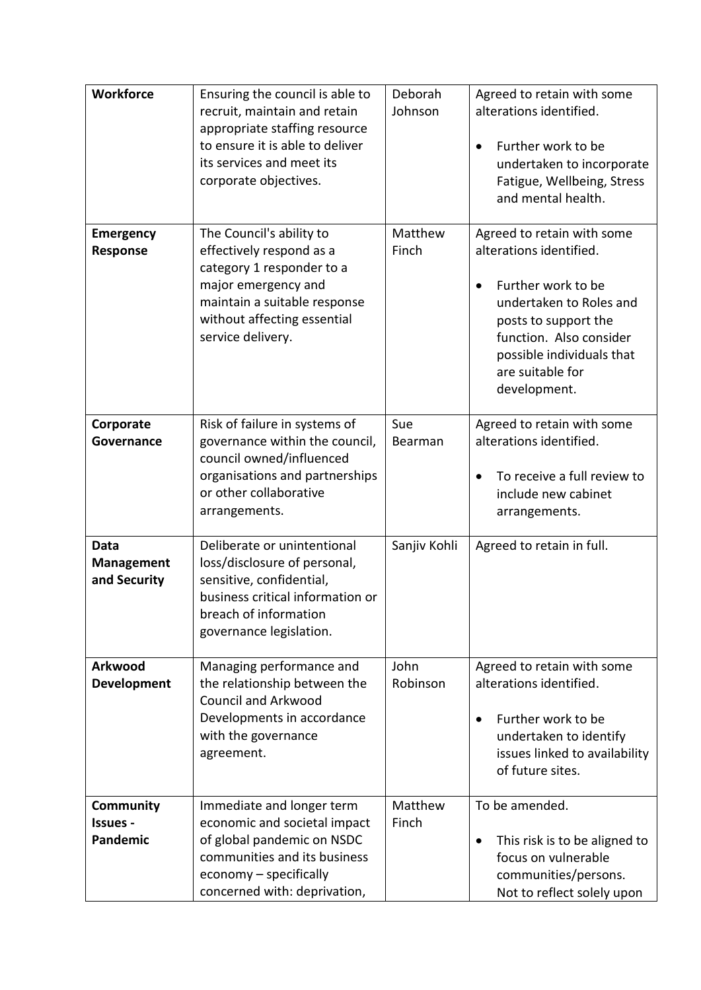| <b>Workforce</b>                          | Ensuring the council is able to<br>recruit, maintain and retain<br>appropriate staffing resource<br>to ensure it is able to deliver<br>its services and meet its<br>corporate objectives.    | Deborah<br>Johnson | Agreed to retain with some<br>alterations identified.<br>Further work to be<br>$\bullet$<br>undertaken to incorporate<br>Fatigue, Wellbeing, Stress<br>and mental health.                                                  |
|-------------------------------------------|----------------------------------------------------------------------------------------------------------------------------------------------------------------------------------------------|--------------------|----------------------------------------------------------------------------------------------------------------------------------------------------------------------------------------------------------------------------|
| <b>Emergency</b><br>Response              | The Council's ability to<br>effectively respond as a<br>category 1 responder to a<br>major emergency and<br>maintain a suitable response<br>without affecting essential<br>service delivery. | Matthew<br>Finch   | Agreed to retain with some<br>alterations identified.<br>Further work to be<br>undertaken to Roles and<br>posts to support the<br>function. Also consider<br>possible individuals that<br>are suitable for<br>development. |
| Corporate<br>Governance                   | Risk of failure in systems of<br>governance within the council,<br>council owned/influenced<br>organisations and partnerships<br>or other collaborative<br>arrangements.                     | Sue<br>Bearman     | Agreed to retain with some<br>alterations identified.<br>To receive a full review to<br>include new cabinet<br>arrangements.                                                                                               |
| Data<br><b>Management</b><br>and Security | Deliberate or unintentional<br>loss/disclosure of personal,<br>sensitive, confidential,<br>business critical information or<br>breach of information<br>governance legislation.              | Sanjiv Kohli       | Agreed to retain in full.                                                                                                                                                                                                  |
| Arkwood<br><b>Development</b>             | Managing performance and<br>the relationship between the<br><b>Council and Arkwood</b><br>Developments in accordance<br>with the governance<br>agreement.                                    | John<br>Robinson   | Agreed to retain with some<br>alterations identified.<br>Further work to be<br>$\bullet$<br>undertaken to identify<br>issues linked to availability<br>of future sites.                                                    |
| Community<br>Issues -<br>Pandemic         | Immediate and longer term<br>economic and societal impact<br>of global pandemic on NSDC<br>communities and its business<br>economy - specifically<br>concerned with: deprivation,            | Matthew<br>Finch   | To be amended.<br>This risk is to be aligned to<br>$\bullet$<br>focus on vulnerable<br>communities/persons.<br>Not to reflect solely upon                                                                                  |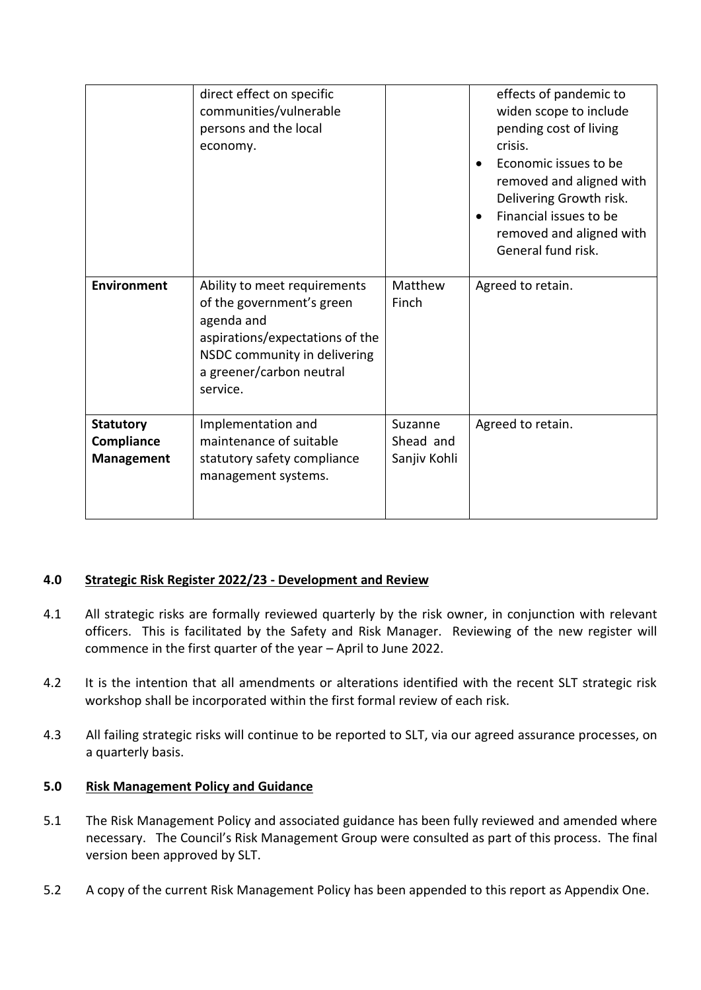|                    | direct effect on specific<br>communities/vulnerable<br>persons and the local<br>economy. |                  | effects of pandemic to<br>widen scope to include<br>pending cost of living<br>crisis.<br>Economic issues to be<br>$\bullet$<br>removed and aligned with<br>Delivering Growth risk.<br>Financial issues to be<br>$\bullet$<br>removed and aligned with<br>General fund risk. |
|--------------------|------------------------------------------------------------------------------------------|------------------|-----------------------------------------------------------------------------------------------------------------------------------------------------------------------------------------------------------------------------------------------------------------------------|
| <b>Environment</b> | Ability to meet requirements<br>of the government's green                                | Matthew<br>Finch | Agreed to retain.                                                                                                                                                                                                                                                           |
|                    | agenda and                                                                               |                  |                                                                                                                                                                                                                                                                             |
|                    | aspirations/expectations of the<br>NSDC community in delivering                          |                  |                                                                                                                                                                                                                                                                             |
|                    | a greener/carbon neutral<br>service.                                                     |                  |                                                                                                                                                                                                                                                                             |
|                    |                                                                                          |                  |                                                                                                                                                                                                                                                                             |
| <b>Statutory</b>   | Implementation and                                                                       | Suzanne          | Agreed to retain.                                                                                                                                                                                                                                                           |
| Compliance         | maintenance of suitable                                                                  | Shead and        |                                                                                                                                                                                                                                                                             |
| <b>Management</b>  | statutory safety compliance<br>management systems.                                       | Sanjiv Kohli     |                                                                                                                                                                                                                                                                             |
|                    |                                                                                          |                  |                                                                                                                                                                                                                                                                             |

### **4.0 Strategic Risk Register 2022/23 - Development and Review**

- 4.1 All strategic risks are formally reviewed quarterly by the risk owner, in conjunction with relevant officers. This is facilitated by the Safety and Risk Manager. Reviewing of the new register will commence in the first quarter of the year – April to June 2022.
- 4.2 It is the intention that all amendments or alterations identified with the recent SLT strategic risk workshop shall be incorporated within the first formal review of each risk.
- 4.3 All failing strategic risks will continue to be reported to SLT, via our agreed assurance processes, on a quarterly basis.

### **5.0 Risk Management Policy and Guidance**

- 5.1 The Risk Management Policy and associated guidance has been fully reviewed and amended where necessary. The Council's Risk Management Group were consulted as part of this process. The final version been approved by SLT.
- 5.2 A copy of the current Risk Management Policy has been appended to this report as Appendix One.